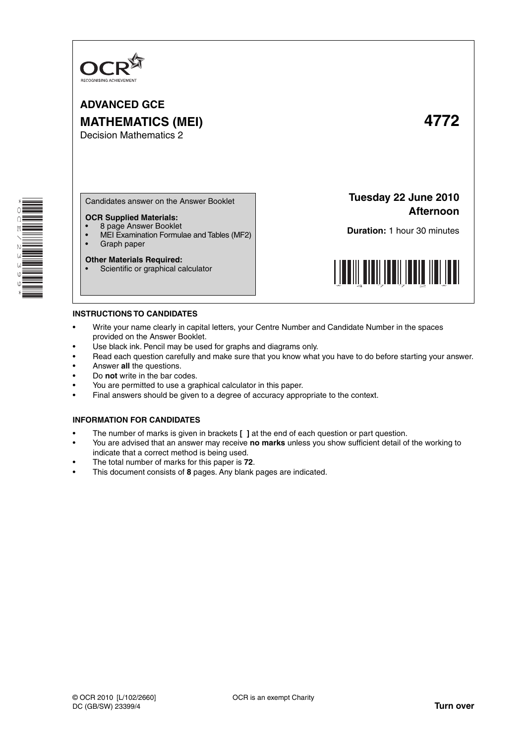

**ADVANCED GCE MATHEMATICS (MEI) 4772** Decision Mathematics 2

\* O<br>Q E  $\overline{\phantom{0}}$ N W<br>W<br>0<br>0 \*

Candidates answer on the Answer Booklet

## **OCR Supplied Materials:**

- 8 page Answer Booklet
- MEI Examination Formulae and Tables (MF2)<br>• Graph paper • Graph paper

#### **Other Materials Required:**

Scientific or graphical calculator

**Tuesday 22 June 2010 Afternoon**

**Duration:** 1 hour 30 minutes



### **INSTRUCTIONS TO CANDIDATES**

- Write your name clearly in capital letters, your Centre Number and Candidate Number in the spaces provided on the Answer Booklet.
- Use black ink. Pencil may be used for graphs and diagrams only.
- Read each question carefully and make sure that you know what you have to do before starting your answer.
- Answer **all** the questions.
- Do **not** write in the bar codes.
- You are permitted to use a graphical calculator in this paper.
- Final answers should be given to a degree of accuracy appropriate to the context.

#### **INFORMATION FOR CANDIDATES**

- The number of marks is given in brackets **[ ]** at the end of each question or part question.
- You are advised that an answer may receive **no marks** unless you show sufficient detail of the working to indicate that a correct method is being used.
- The total number of marks for this paper is **72**.
- This document consists of **8** pages. Any blank pages are indicated.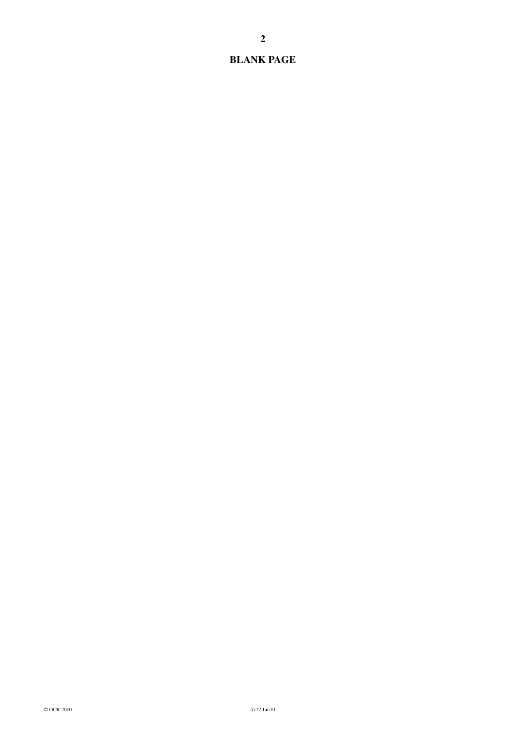# **BLANK PAGE**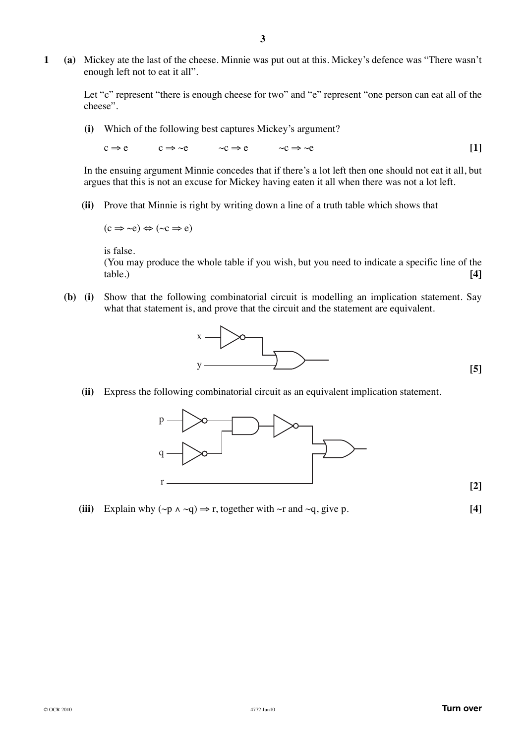**1 (a)** Mickey ate the last of the cheese. Minnie was put out at this. Mickey's defence was "There wasn't enough left not to eat it all".

Let "c" represent "there is enough cheese for two" and "e" represent "one person can eat all of the cheese".

 **(i)** Which of the following best captures Mickey's argument?

 $c \Rightarrow e$   $c \Rightarrow \neg e$   $\sim c \Rightarrow e$   $\sim c \Rightarrow \neg e$  **[1]** 

In the ensuing argument Minnie concedes that if there's a lot left then one should not eat it all, but argues that this is not an excuse for Mickey having eaten it all when there was not a lot left.

 **(ii)** Prove that Minnie is right by writing down a line of a truth table which shows that

 $(c \Rightarrow \neg e) \Leftrightarrow (\neg c \Rightarrow e)$ 

is false.

(You may produce the whole table if you wish, but you need to indicate a specific line of the table.) **[4]**

 **(b) (i)** Show that the following combinatorial circuit is modelling an implication statement. Say what that statement is, and prove that the circuit and the statement are equivalent.



 **(ii)** Express the following combinatorial circuit as an equivalent implication statement.



(iii) Explain why (~p  $\land$  ~q)  $\Rightarrow$  r, together with ~r and ~q, give p. **[4]**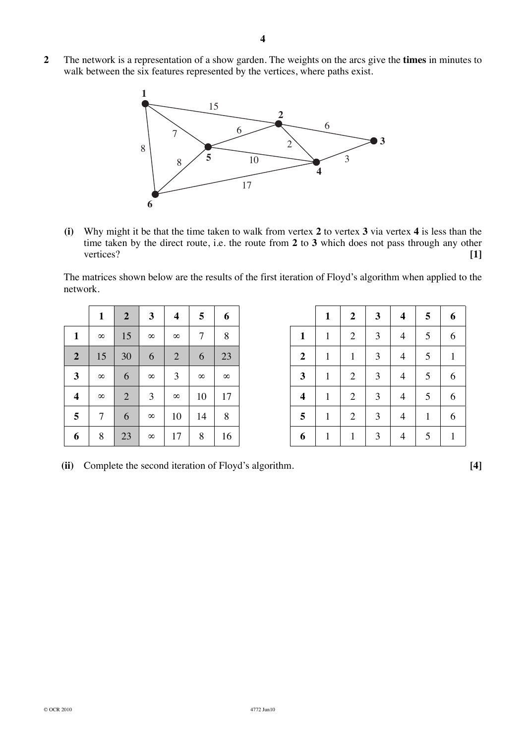The network is a representation of a show garden. The weights on the arcs give the **times** in minutes to walk between the six features represented by the vertices, where paths exist.



 **(i)** Why might it be that the time taken to walk from vertex **2** to vertex **3** via vertex **4** is less than the time taken by the direct route, i.e. the route from **2** to **3** which does not pass through any other vertices? **[1]**

The matrices shown below are the results of the first iteration of Floyd's algorithm when applied to the network.

|                         | 1             | $\boldsymbol{2}$ | 3             | $\overline{\mathbf{4}}$ | 5        | 6        |
|-------------------------|---------------|------------------|---------------|-------------------------|----------|----------|
| 1                       | ${}^{\infty}$ | 15               | ${}^{\infty}$ | ${}^{\infty}$           | 7        | 8        |
| $\overline{2}$          | 15            | 30               | 6             | $\overline{2}$          | 6        | 23       |
| $\mathbf{3}$            | ${}^{\infty}$ | 6                | ${}^{\infty}$ | 3                       | $\infty$ | $\infty$ |
| $\overline{\mathbf{4}}$ | ${}^{\infty}$ | $\overline{2}$   | 3             | ${}^{\infty}$           | 10       | 17       |
| $\overline{\mathbf{5}}$ | 7             | 6                | ${}^{\infty}$ | 10                      | 14       | 8        |
| 6                       | 8             | 23               | ${}^{\infty}$ | 17                      | 8        | 16       |

|                         | $\mathbf{1}$ | $\boldsymbol{2}$ | 3 | $\overline{\mathbf{4}}$ | 5            | 6            |
|-------------------------|--------------|------------------|---|-------------------------|--------------|--------------|
| $\mathbf{1}$            | $\mathbf{1}$ | $\overline{2}$   | 3 | $\overline{4}$          | 5            | 6            |
| $\boldsymbol{2}$        | $\mathbf{1}$ | $\mathbf{1}$     | 3 | $\overline{4}$          | 5            | $\mathbf{1}$ |
| 3                       | $\mathbf{1}$ | $\mathbf{2}$     | 3 | $\overline{4}$          | 5            | 6            |
| $\overline{\mathbf{4}}$ | $\mathbf{1}$ | $\overline{2}$   | 3 | $\overline{4}$          | 5            | 6            |
| 5                       | $\mathbf{1}$ | $\overline{2}$   | 3 | $\overline{4}$          | $\mathbf{1}$ | 6            |
| 6                       | $\mathbf{1}$ | $\mathbf{1}$     | 3 | $\overline{4}$          | 5            | $\mathbf{1}$ |

 **(ii)** Complete the second iteration of Floyd's algorithm. **[4]**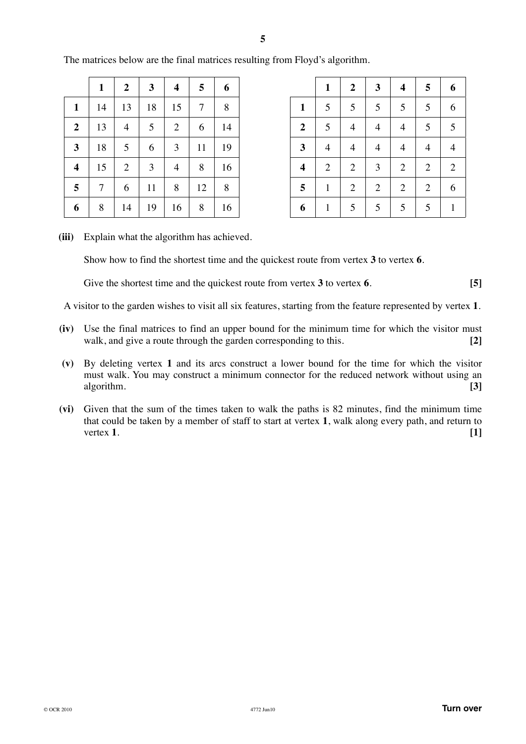|                         | $\mathbf{1}$ | $\boldsymbol{2}$ | 3  | $\overline{\mathbf{4}}$ | 5              | 6  |
|-------------------------|--------------|------------------|----|-------------------------|----------------|----|
| 1                       | 14           | 13               | 18 | 15                      | $\overline{7}$ | 8  |
| $\boldsymbol{2}$        | 13           | $\overline{4}$   | 5  | $\overline{2}$          | 6              | 14 |
| 3                       | 18           | 5                | 6  | 3                       | 11             | 19 |
| $\overline{\mathbf{4}}$ | 15           | $\overline{2}$   | 3  | $\overline{4}$          | 8              | 16 |
| 5                       | $\tau$       | 6                | 11 | 8                       | 12             | 8  |
| 6                       | 8            | 14               | 19 | 16                      | 8              | 16 |

|                         | $\mathbf{1}$   | $\boldsymbol{2}$ | $\mathbf{3}$   | $\overline{\mathbf{4}}$ | 5              | 6              |
|-------------------------|----------------|------------------|----------------|-------------------------|----------------|----------------|
| $\mathbf{1}$            | 5              | 5                | 5              | 5                       | 5              | 6              |
| $\boldsymbol{2}$        | 5              | $\overline{4}$   | $\overline{4}$ | $\overline{4}$          | 5              | $\sqrt{5}$     |
| 3                       | $\overline{4}$ | $\overline{4}$   | $\overline{4}$ | $\overline{4}$          | $\overline{4}$ | $\overline{4}$ |
| $\overline{\mathbf{4}}$ | $\overline{2}$ | $\overline{2}$   | 3              | $\overline{2}$          | $\overline{2}$ | $\overline{2}$ |
| 5                       | $\mathbf{1}$   | $\mathbf{2}$     | $\mathbf{2}$   | $\overline{2}$          | $\overline{2}$ | 6              |
| 6                       | $\mathbf{1}$   | 5                | 5              | 5                       | 5              | $\mathbf{1}$   |

The matrices below are the final matrices resulting from Floyd's algorithm.

 **(iii)** Explain what the algorithm has achieved.

Show how to find the shortest time and the quickest route from vertex **3** to vertex **6**.

**Give the shortest time and the quickest route from vertex 3 to vertex 6.** [5]

A visitor to the garden wishes to visit all six features, starting from the feature represented by vertex **1**.

- **(iv)** Use the final matrices to find an upper bound for the minimum time for which the visitor must walk, and give a route through the garden corresponding to this. **[2]**
- **(v)** By deleting vertex **1** and its arcs construct a lower bound for the time for which the visitor must walk. You may construct a minimum connector for the reduced network without using an algorithm. **[3]**
- **(vi)** Given that the sum of the times taken to walk the paths is 82 minutes, find the minimum time that could be taken by a member of staff to start at vertex **1**, walk along every path, and return to vertex **1**. **[1]**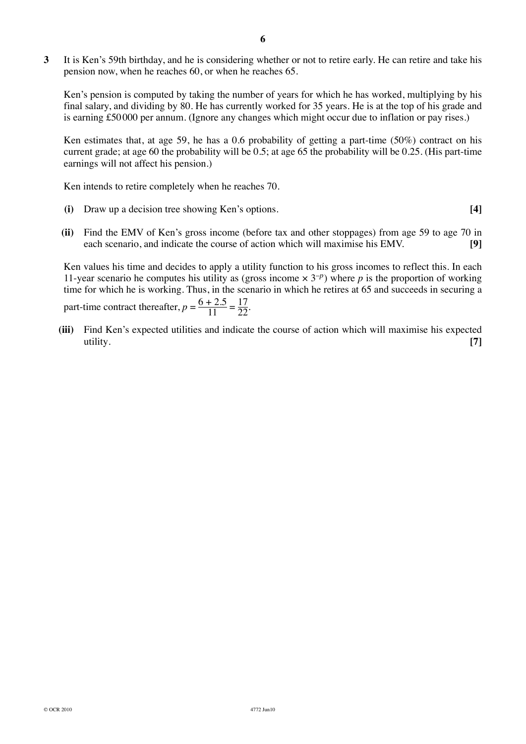**3** It is Ken's 59th birthday, and he is considering whether or not to retire early. He can retire and take his pension now, when he reaches 60, or when he reaches 65.

Ken's pension is computed by taking the number of years for which he has worked, multiplying by his final salary, and dividing by 80. He has currently worked for 35 years. He is at the top of his grade and is earning £50 000 per annum. (Ignore any changes which might occur due to inflation or pay rises.)

Ken estimates that, at age 59, he has a 0.6 probability of getting a part-time (50%) contract on his current grade; at age 60 the probability will be 0.5; at age 65 the probability will be 0.25. (His part-time earnings will not affect his pension.)

Ken intends to retire completely when he reaches 70.

 **(i)** Draw up a decision tree showing Ken's options. **[4]**

 **(ii)** Find the EMV of Ken's gross income (before tax and other stoppages) from age 59 to age 70 in each scenario, and indicate the course of action which will maximise his EMV. **[9]**

Ken values his time and decides to apply a utility function to his gross incomes to reflect this. In each 11-year scenario he computes his utility as (gross income  $\times 3^{-p}$ ) where p is the proportion of working time for which he is working. Thus, in the scenario in which he retires at 65 and succeeds in securing a

part-time contract thereafter,  $p = \frac{6+2.5}{11} = \frac{17}{22}$ .

 **(iii)** Find Ken's expected utilities and indicate the course of action which will maximise his expected utility. **[7]**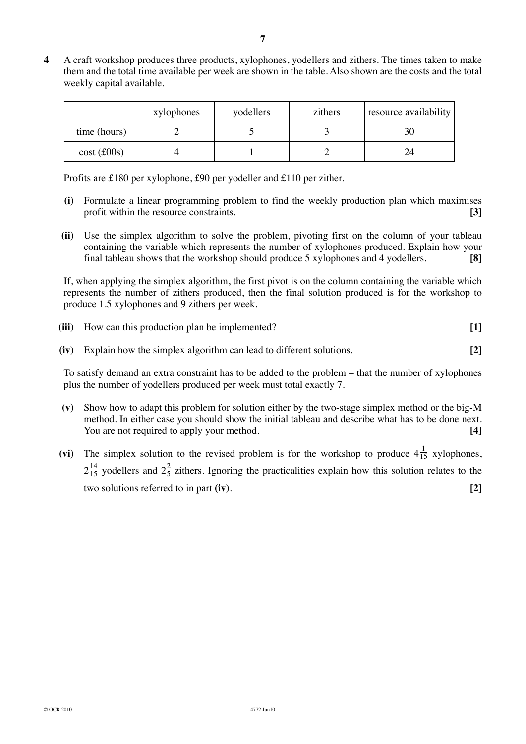**4** A craft workshop produces three products, xylophones, yodellers and zithers. The times taken to make them and the total time available per week are shown in the table. Also shown are the costs and the total weekly capital available.

|              | xylophones | yodellers | zithers | resource availability |
|--------------|------------|-----------|---------|-----------------------|
| time (hours) |            |           |         |                       |
| cost (£00s)  |            |           |         |                       |

Profits are £180 per xylophone, £90 per yodeller and £110 per zither.

- **(i)** Formulate a linear programming problem to find the weekly production plan which maximises profit within the resource constraints. **[3]**
- **(ii)** Use the simplex algorithm to solve the problem, pivoting first on the column of your tableau containing the variable which represents the number of xylophones produced. Explain how your final tableau shows that the workshop should produce 5 xylophones and 4 yodellers. **[8]**

If, when applying the simplex algorithm, the first pivot is on the column containing the variable which represents the number of zithers produced, then the final solution produced is for the workshop to produce 1.5 xylophones and 9 zithers per week.

| (iii) How can this production plan be implemented? |  |  |  |
|----------------------------------------------------|--|--|--|
|                                                    |  |  |  |

 **(iv)** Explain how the simplex algorithm can lead to different solutions. **[2]**

To satisfy demand an extra constraint has to be added to the problem – that the number of xylophones plus the number of yodellers produced per week must total exactly 7.

- **(v)** Show how to adapt this problem for solution either by the two-stage simplex method or the big-M method. In either case you should show the initial tableau and describe what has to be done next. You are not required to apply your method. **[4]**
- (vi) The simplex solution to the revised problem is for the workshop to produce  $4\frac{1}{15}$  xylophones,  $2\frac{14}{15}$  yodellers and  $2\frac{2}{5}$  zithers. Ignoring the practicalities explain how this solution relates to the two solutions referred to in part **(iv)**. **[2]**